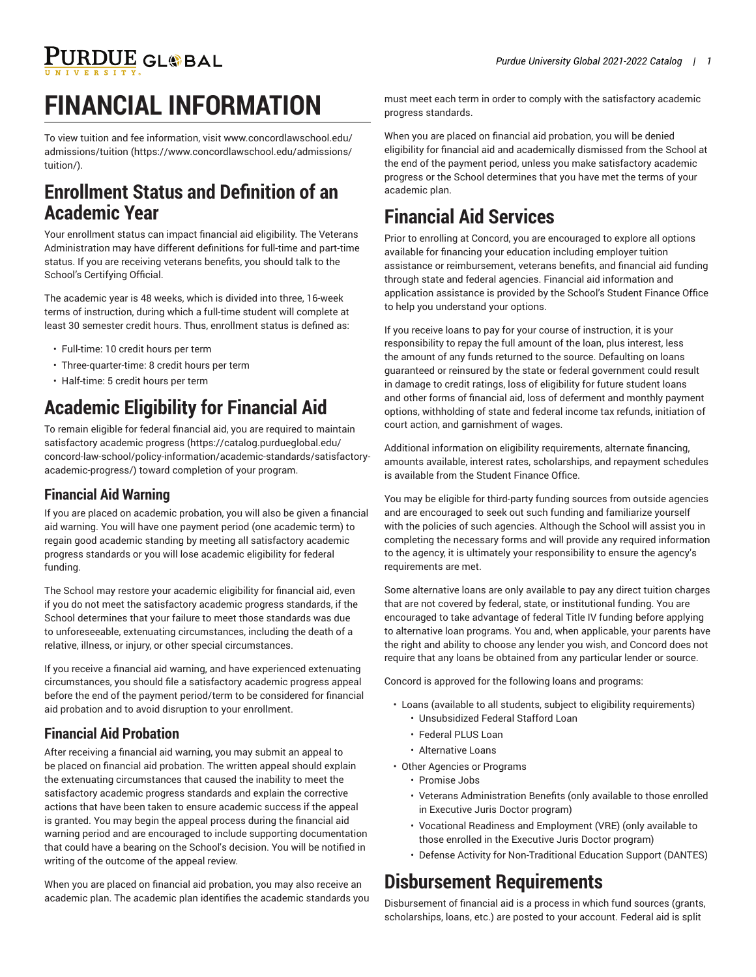PURDUE GL®BAL

## **FINANCIAL INFORMATION**

To view tuition and fee information, visit [www.concordlawschool.edu/](https://www.concordlawschool.edu/admissions/tuition/) [admissions/tuition](https://www.concordlawschool.edu/admissions/tuition/) ([https://www.concordlawschool.edu/admissions/](https://www.concordlawschool.edu/admissions/tuition/) [tuition/](https://www.concordlawschool.edu/admissions/tuition/)).

## **Enrollment Status and Definition of an Academic Year**

Your enrollment status can impact financial aid eligibility. The Veterans Administration may have different definitions for full-time and part-time status. If you are receiving veterans benefits, you should talk to the School's Certifying Official.

The academic year is 48 weeks, which is divided into three, 16-week terms of instruction, during which a full-time student will complete at least 30 semester credit hours. Thus, enrollment status is defined as:

- Full-time: 10 credit hours per term
- Three-quarter-time: 8 credit hours per term
- Half-time: 5 credit hours per term

## **Academic Eligibility for Financial Aid**

To remain eligible for federal financial aid, you are required to maintain [satisfactory](https://catalog.purdueglobal.edu/concord-law-school/policy-information/academic-standards/satisfactory-academic-progress/) academic progress [\(https://catalog.purdueglobal.edu/](https://catalog.purdueglobal.edu/concord-law-school/policy-information/academic-standards/satisfactory-academic-progress/) [concord-law-school/policy-information/academic-standards/satisfactory](https://catalog.purdueglobal.edu/concord-law-school/policy-information/academic-standards/satisfactory-academic-progress/)[academic-progress/](https://catalog.purdueglobal.edu/concord-law-school/policy-information/academic-standards/satisfactory-academic-progress/)) toward completion of your program.

### **Financial Aid Warning**

If you are placed on academic probation, you will also be given a financial aid warning. You will have one payment period (one academic term) to regain good academic standing by meeting all satisfactory academic progress standards or you will lose academic eligibility for federal funding.

The School may restore your academic eligibility for financial aid, even if you do not meet the satisfactory academic progress standards, if the School determines that your failure to meet those standards was due to unforeseeable, extenuating circumstances, including the death of a relative, illness, or injury, or other special circumstances.

If you receive a financial aid warning, and have experienced extenuating circumstances, you should file a satisfactory academic progress appeal before the end of the payment period/term to be considered for financial aid probation and to avoid disruption to your enrollment.

### **Financial Aid Probation**

After receiving a financial aid warning, you may submit an appeal to be placed on financial aid probation. The written appeal should explain the extenuating circumstances that caused the inability to meet the satisfactory academic progress standards and explain the corrective actions that have been taken to ensure academic success if the appeal is granted. You may begin the appeal process during the financial aid warning period and are encouraged to include supporting documentation that could have a bearing on the School's decision. You will be notified in writing of the outcome of the appeal review.

When you are placed on financial aid probation, you may also receive an academic plan. The academic plan identifies the academic standards you must meet each term in order to comply with the satisfactory academic progress standards.

When you are placed on financial aid probation, you will be denied eligibility for financial aid and academically dismissed from the School at the end of the payment period, unless you make satisfactory academic progress or the School determines that you have met the terms of your academic plan.

## **Financial Aid Services**

Prior to enrolling at Concord, you are encouraged to explore all options available for financing your education including employer tuition assistance or reimbursement, veterans benefits, and financial aid funding through state and federal agencies. Financial aid information and application assistance is provided by the School's Student Finance Office to help you understand your options.

If you receive loans to pay for your course of instruction, it is your responsibility to repay the full amount of the loan, plus interest, less the amount of any funds returned to the source. Defaulting on loans guaranteed or reinsured by the state or federal government could result in damage to credit ratings, loss of eligibility for future student loans and other forms of financial aid, loss of deferment and monthly payment options, withholding of state and federal income tax refunds, initiation of court action, and garnishment of wages.

Additional information on eligibility requirements, alternate financing, amounts available, interest rates, scholarships, and repayment schedules is available from the Student Finance Office.

You may be eligible for third-party funding sources from outside agencies and are encouraged to seek out such funding and familiarize yourself with the policies of such agencies. Although the School will assist you in completing the necessary forms and will provide any required information to the agency, it is ultimately your responsibility to ensure the agency's requirements are met.

Some alternative loans are only available to pay any direct tuition charges that are not covered by federal, state, or institutional funding. You are encouraged to take advantage of federal Title IV funding before applying to alternative loan programs. You and, when applicable, your parents have the right and ability to choose any lender you wish, and Concord does not require that any loans be obtained from any particular lender or source.

Concord is approved for the following loans and programs:

- Loans (available to all students, subject to eligibility requirements)
	- Unsubsidized Federal Stafford Loan
	- Federal PLUS Loan
	- Alternative Loans
- Other Agencies or Programs
	- Promise Jobs
	- Veterans Administration Benefits (only available to those enrolled in Executive Juris Doctor program)
	- Vocational Readiness and Employment (VRE) (only available to those enrolled in the Executive Juris Doctor program)
	- Defense Activity for Non-Traditional Education Support (DANTES)

### **Disbursement Requirements**

Disbursement of financial aid is a process in which fund sources (grants, scholarships, loans, etc.) are posted to your account. Federal aid is split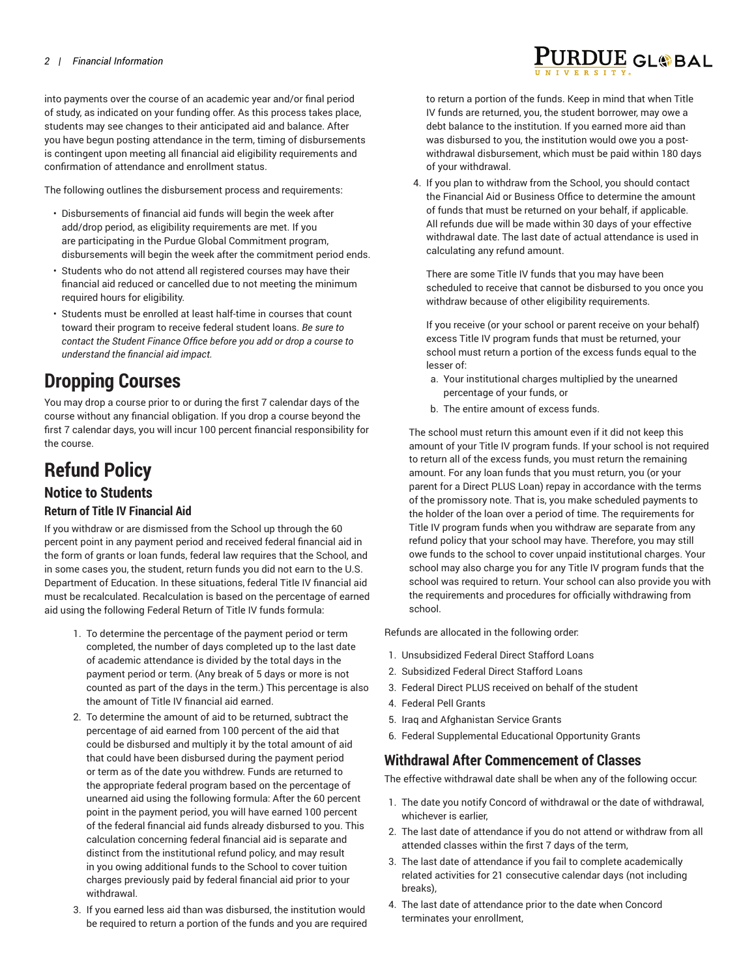into payments over the course of an academic year and/or final period of study, as indicated on your funding offer. As this process takes place, students may see changes to their anticipated aid and balance. After you have begun posting attendance in the term, timing of disbursements is contingent upon meeting all financial aid eligibility requirements and confirmation of attendance and enrollment status.

The following outlines the disbursement process and requirements:

- Disbursements of financial aid funds will begin the week after add/drop period, as eligibility requirements are met. If you are participating in the Purdue Global Commitment program, disbursements will begin the week after the commitment period ends.
- Students who do not attend all registered courses may have their financial aid reduced or cancelled due to not meeting the minimum required hours for eligibility.
- Students must be enrolled at least half-time in courses that count toward their program to receive federal student loans. *Be sure to contact the Student Finance Office before you add or drop a course to understand the financial aid impact.*

## **Dropping Courses**

You may drop a course prior to or during the first 7 calendar days of the course without any financial obligation. If you drop a course beyond the first 7 calendar days, you will incur 100 percent financial responsibility for the course.

# **Refund Policy**

### **Notice to Students**

#### **Return of Title IV Financial Aid**

If you withdraw or are dismissed from the School up through the 60 percent point in any payment period and received federal financial aid in the form of grants or loan funds, federal law requires that the School, and in some cases you, the student, return funds you did not earn to the U.S. Department of Education. In these situations, federal Title IV financial aid must be recalculated. Recalculation is based on the percentage of earned aid using the following Federal Return of Title IV funds formula:

- 1. To determine the percentage of the payment period or term completed, the number of days completed up to the last date of academic attendance is divided by the total days in the payment period or term. (Any break of 5 days or more is not counted as part of the days in the term.) This percentage is also the amount of Title IV financial aid earned.
- 2. To determine the amount of aid to be returned, subtract the percentage of aid earned from 100 percent of the aid that could be disbursed and multiply it by the total amount of aid that could have been disbursed during the payment period or term as of the date you withdrew. Funds are returned to the appropriate federal program based on the percentage of unearned aid using the following formula: After the 60 percent point in the payment period, you will have earned 100 percent of the federal financial aid funds already disbursed to you. This calculation concerning federal financial aid is separate and distinct from the institutional refund policy, and may result in you owing additional funds to the School to cover tuition charges previously paid by federal financial aid prior to your withdrawal.
- 3. If you earned less aid than was disbursed, the institution would be required to return a portion of the funds and you are required

# **JRDUE GL@BAL**

to return a portion of the funds. Keep in mind that when Title IV funds are returned, you, the student borrower, may owe a debt balance to the institution. If you earned more aid than was disbursed to you, the institution would owe you a postwithdrawal disbursement, which must be paid within 180 days of your withdrawal.

4. If you plan to withdraw from the School, you should contact the Financial Aid or Business Office to determine the amount of funds that must be returned on your behalf, if applicable. All refunds due will be made within 30 days of your effective withdrawal date. The last date of actual attendance is used in calculating any refund amount.

There are some Title IV funds that you may have been scheduled to receive that cannot be disbursed to you once you withdraw because of other eligibility requirements.

If you receive (or your school or parent receive on your behalf) excess Title IV program funds that must be returned, your school must return a portion of the excess funds equal to the lesser of:

- a. Your institutional charges multiplied by the unearned percentage of your funds, or
- b. The entire amount of excess funds.

The school must return this amount even if it did not keep this amount of your Title IV program funds. If your school is not required to return all of the excess funds, you must return the remaining amount. For any loan funds that you must return, you (or your parent for a Direct PLUS Loan) repay in accordance with the terms of the promissory note. That is, you make scheduled payments to the holder of the loan over a period of time. The requirements for Title IV program funds when you withdraw are separate from any refund policy that your school may have. Therefore, you may still owe funds to the school to cover unpaid institutional charges. Your school may also charge you for any Title IV program funds that the school was required to return. Your school can also provide you with the requirements and procedures for officially withdrawing from school.

Refunds are allocated in the following order:

- 1. Unsubsidized Federal Direct Stafford Loans
- 2. Subsidized Federal Direct Stafford Loans
- 3. Federal Direct PLUS received on behalf of the student
- 4. Federal Pell Grants
- 5. Iraq and Afghanistan Service Grants
- 6. Federal Supplemental Educational Opportunity Grants

### **Withdrawal After Commencement of Classes**

The effective withdrawal date shall be when any of the following occur:

- 1. The date you notify Concord of withdrawal or the date of withdrawal, whichever is earlier,
- 2. The last date of attendance if you do not attend or withdraw from all attended classes within the first 7 days of the term,
- 3. The last date of attendance if you fail to complete academically related activities for 21 consecutive calendar days (not including breaks),
- 4. The last date of attendance prior to the date when Concord terminates your enrollment,